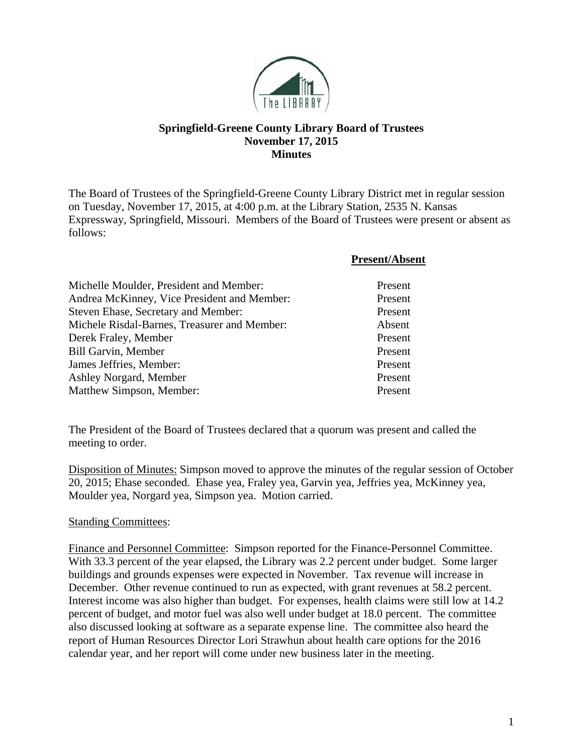

## **Springfield-Greene County Library Board of Trustees November 17, 2015 Minutes**

The Board of Trustees of the Springfield-Greene County Library District met in regular session on Tuesday, November 17, 2015, at 4:00 p.m. at the Library Station, 2535 N. Kansas Expressway, Springfield, Missouri. Members of the Board of Trustees were present or absent as follows:

|                                              | <b>Present/Absent</b> |
|----------------------------------------------|-----------------------|
| Michelle Moulder, President and Member:      | Present               |
| Andrea McKinney, Vice President and Member:  | Present               |
| Steven Ehase, Secretary and Member:          | Present               |
| Michele Risdal-Barnes, Treasurer and Member: | Absent                |
| Derek Fraley, Member                         | Present               |
| <b>Bill Garvin, Member</b>                   | Present               |
| James Jeffries, Member:                      | Present               |
| Ashley Norgard, Member                       | Present               |
| Matthew Simpson, Member:                     | Present               |

The President of the Board of Trustees declared that a quorum was present and called the meeting to order.

Disposition of Minutes: Simpson moved to approve the minutes of the regular session of October 20, 2015; Ehase seconded. Ehase yea, Fraley yea, Garvin yea, Jeffries yea, McKinney yea, Moulder yea, Norgard yea, Simpson yea. Motion carried.

## Standing Committees:

Finance and Personnel Committee: Simpson reported for the Finance-Personnel Committee. With 33.3 percent of the year elapsed, the Library was 2.2 percent under budget. Some larger buildings and grounds expenses were expected in November. Tax revenue will increase in December. Other revenue continued to run as expected, with grant revenues at 58.2 percent. Interest income was also higher than budget. For expenses, health claims were still low at 14.2 percent of budget, and motor fuel was also well under budget at 18.0 percent. The committee also discussed looking at software as a separate expense line. The committee also heard the report of Human Resources Director Lori Strawhun about health care options for the 2016 calendar year, and her report will come under new business later in the meeting.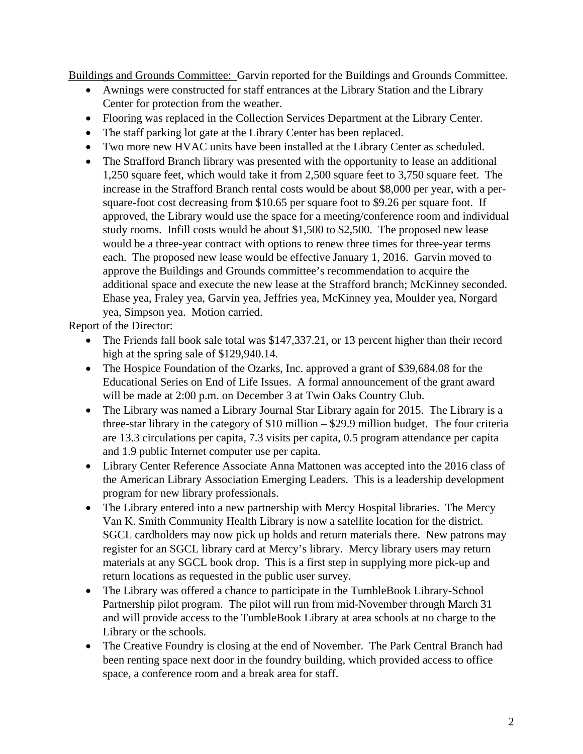Buildings and Grounds Committee: Garvin reported for the Buildings and Grounds Committee.

- Awnings were constructed for staff entrances at the Library Station and the Library Center for protection from the weather.
- Flooring was replaced in the Collection Services Department at the Library Center.
- The staff parking lot gate at the Library Center has been replaced.
- Two more new HVAC units have been installed at the Library Center as scheduled.
- The Strafford Branch library was presented with the opportunity to lease an additional 1,250 square feet, which would take it from 2,500 square feet to 3,750 square feet. The increase in the Strafford Branch rental costs would be about \$8,000 per year, with a persquare-foot cost decreasing from \$10.65 per square foot to \$9.26 per square foot. If approved, the Library would use the space for a meeting/conference room and individual study rooms. Infill costs would be about \$1,500 to \$2,500. The proposed new lease would be a three-year contract with options to renew three times for three-year terms each. The proposed new lease would be effective January 1, 2016. Garvin moved to approve the Buildings and Grounds committee's recommendation to acquire the additional space and execute the new lease at the Strafford branch; McKinney seconded. Ehase yea, Fraley yea, Garvin yea, Jeffries yea, McKinney yea, Moulder yea, Norgard yea, Simpson yea. Motion carried.

Report of the Director:

- The Friends fall book sale total was \$147,337.21, or 13 percent higher than their record high at the spring sale of \$129,940.14.
- The Hospice Foundation of the Ozarks, Inc. approved a grant of \$39,684.08 for the Educational Series on End of Life Issues. A formal announcement of the grant award will be made at 2:00 p.m. on December 3 at Twin Oaks Country Club.
- The Library was named a Library Journal Star Library again for 2015. The Library is a three-star library in the category of \$10 million – \$29.9 million budget. The four criteria are 13.3 circulations per capita, 7.3 visits per capita, 0.5 program attendance per capita and 1.9 public Internet computer use per capita.
- Library Center Reference Associate Anna Mattonen was accepted into the 2016 class of the American Library Association Emerging Leaders. This is a leadership development program for new library professionals.
- The Library entered into a new partnership with Mercy Hospital libraries. The Mercy Van K. Smith Community Health Library is now a satellite location for the district. SGCL cardholders may now pick up holds and return materials there. New patrons may register for an SGCL library card at Mercy's library. Mercy library users may return materials at any SGCL book drop. This is a first step in supplying more pick-up and return locations as requested in the public user survey.
- The Library was offered a chance to participate in the TumbleBook Library-School Partnership pilot program. The pilot will run from mid-November through March 31 and will provide access to the TumbleBook Library at area schools at no charge to the Library or the schools.
- The Creative Foundry is closing at the end of November. The Park Central Branch had been renting space next door in the foundry building, which provided access to office space, a conference room and a break area for staff.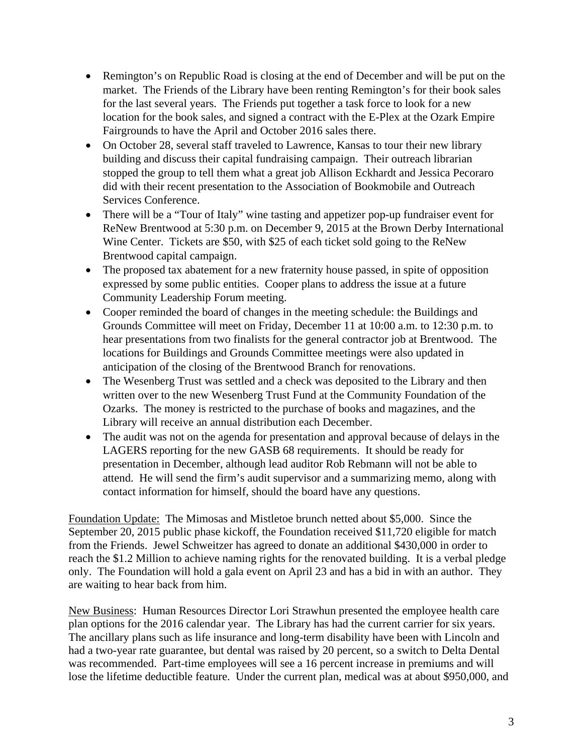- Remington's on Republic Road is closing at the end of December and will be put on the market. The Friends of the Library have been renting Remington's for their book sales for the last several years. The Friends put together a task force to look for a new location for the book sales, and signed a contract with the E-Plex at the Ozark Empire Fairgrounds to have the April and October 2016 sales there.
- On October 28, several staff traveled to Lawrence, Kansas to tour their new library building and discuss their capital fundraising campaign. Their outreach librarian stopped the group to tell them what a great job Allison Eckhardt and Jessica Pecoraro did with their recent presentation to the Association of Bookmobile and Outreach Services Conference.
- There will be a "Tour of Italy" wine tasting and appetizer pop-up fundraiser event for ReNew Brentwood at 5:30 p.m. on December 9, 2015 at the Brown Derby International Wine Center. Tickets are \$50, with \$25 of each ticket sold going to the ReNew Brentwood capital campaign.
- The proposed tax abatement for a new fraternity house passed, in spite of opposition expressed by some public entities. Cooper plans to address the issue at a future Community Leadership Forum meeting.
- Cooper reminded the board of changes in the meeting schedule: the Buildings and Grounds Committee will meet on Friday, December 11 at 10:00 a.m. to 12:30 p.m. to hear presentations from two finalists for the general contractor job at Brentwood. The locations for Buildings and Grounds Committee meetings were also updated in anticipation of the closing of the Brentwood Branch for renovations.
- The Wesenberg Trust was settled and a check was deposited to the Library and then written over to the new Wesenberg Trust Fund at the Community Foundation of the Ozarks. The money is restricted to the purchase of books and magazines, and the Library will receive an annual distribution each December.
- The audit was not on the agenda for presentation and approval because of delays in the LAGERS reporting for the new GASB 68 requirements. It should be ready for presentation in December, although lead auditor Rob Rebmann will not be able to attend. He will send the firm's audit supervisor and a summarizing memo, along with contact information for himself, should the board have any questions.

Foundation Update: The Mimosas and Mistletoe brunch netted about \$5,000. Since the September 20, 2015 public phase kickoff, the Foundation received \$11,720 eligible for match from the Friends. Jewel Schweitzer has agreed to donate an additional \$430,000 in order to reach the \$1.2 Million to achieve naming rights for the renovated building. It is a verbal pledge only. The Foundation will hold a gala event on April 23 and has a bid in with an author. They are waiting to hear back from him.

New Business: Human Resources Director Lori Strawhun presented the employee health care plan options for the 2016 calendar year. The Library has had the current carrier for six years. The ancillary plans such as life insurance and long-term disability have been with Lincoln and had a two-year rate guarantee, but dental was raised by 20 percent, so a switch to Delta Dental was recommended. Part-time employees will see a 16 percent increase in premiums and will lose the lifetime deductible feature. Under the current plan, medical was at about \$950,000, and